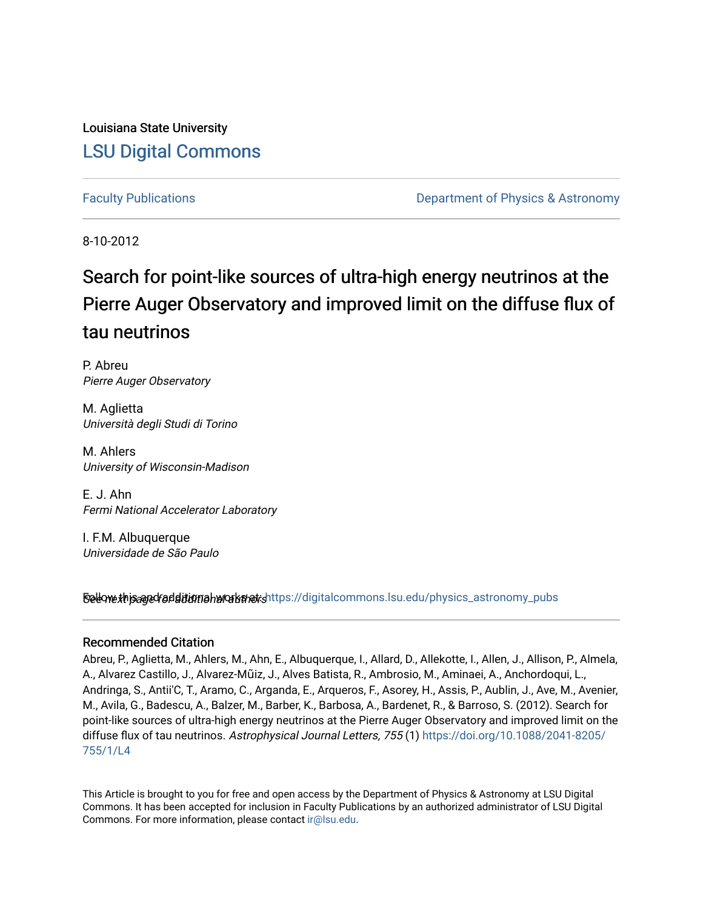Louisiana State University [LSU Digital Commons](https://digitalcommons.lsu.edu/)

[Faculty Publications](https://digitalcommons.lsu.edu/physics_astronomy_pubs) **Example 2** Constant Department of Physics & Astronomy

8-10-2012

# Search for point-like sources of ultra-high energy neutrinos at the Pierre Auger Observatory and improved limit on the diffuse flux of tau neutrinos

P. Abreu Pierre Auger Observatory

M. Aglietta Università degli Studi di Torino

M. Ahlers University of Wisconsin-Madison

E. J. Ahn Fermi National Accelerator Laboratory

I. F.M. Albuquerque Universidade de São Paulo

Sellow this age for ditional works and the still digital commons.lsu.edu/physics\_astronomy\_pubs

# Recommended Citation

Abreu, P., Aglietta, M., Ahlers, M., Ahn, E., Albuquerque, I., Allard, D., Allekotte, I., Allen, J., Allison, P., Almela, A., Alvarez Castillo, J., Alvarez-Mũiz, J., Alves Batista, R., Ambrosio, M., Aminaei, A., Anchordoqui, L., Andringa, S., Antii'C, T., Aramo, C., Arganda, E., Arqueros, F., Asorey, H., Assis, P., Aublin, J., Ave, M., Avenier, M., Avila, G., Badescu, A., Balzer, M., Barber, K., Barbosa, A., Bardenet, R., & Barroso, S. (2012). Search for point-like sources of ultra-high energy neutrinos at the Pierre Auger Observatory and improved limit on the diffuse flux of tau neutrinos. Astrophysical Journal Letters, 755 (1) [https://doi.org/10.1088/2041-8205/](https://doi.org/10.1088/2041-8205/755/1/L4) [755/1/L4](https://doi.org/10.1088/2041-8205/755/1/L4) 

This Article is brought to you for free and open access by the Department of Physics & Astronomy at LSU Digital Commons. It has been accepted for inclusion in Faculty Publications by an authorized administrator of LSU Digital Commons. For more information, please contact [ir@lsu.edu](mailto:ir@lsu.edu).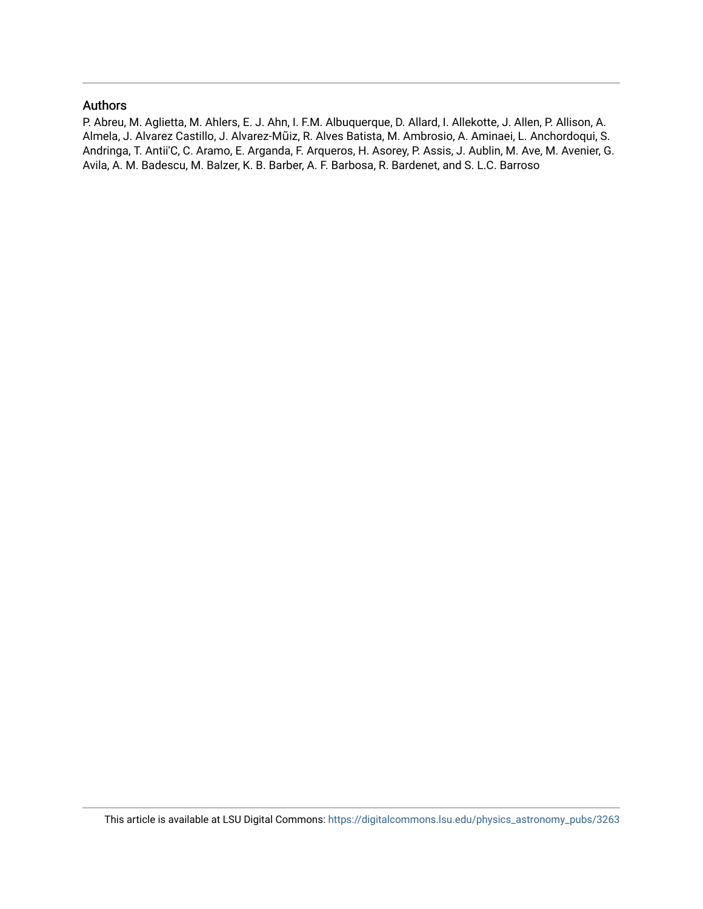## Authors

P. Abreu, M. Aglietta, M. Ahlers, E. J. Ahn, I. F.M. Albuquerque, D. Allard, I. Allekotte, J. Allen, P. Allison, A. Almela, J. Alvarez Castillo, J. Alvarez-Mũiz, R. Alves Batista, M. Ambrosio, A. Aminaei, L. Anchordoqui, S. Andringa, T. Antii'C, C. Aramo, E. Arganda, F. Arqueros, H. Asorey, P. Assis, J. Aublin, M. Ave, M. Avenier, G. Avila, A. M. Badescu, M. Balzer, K. B. Barber, A. F. Barbosa, R. Bardenet, and S. L.C. Barroso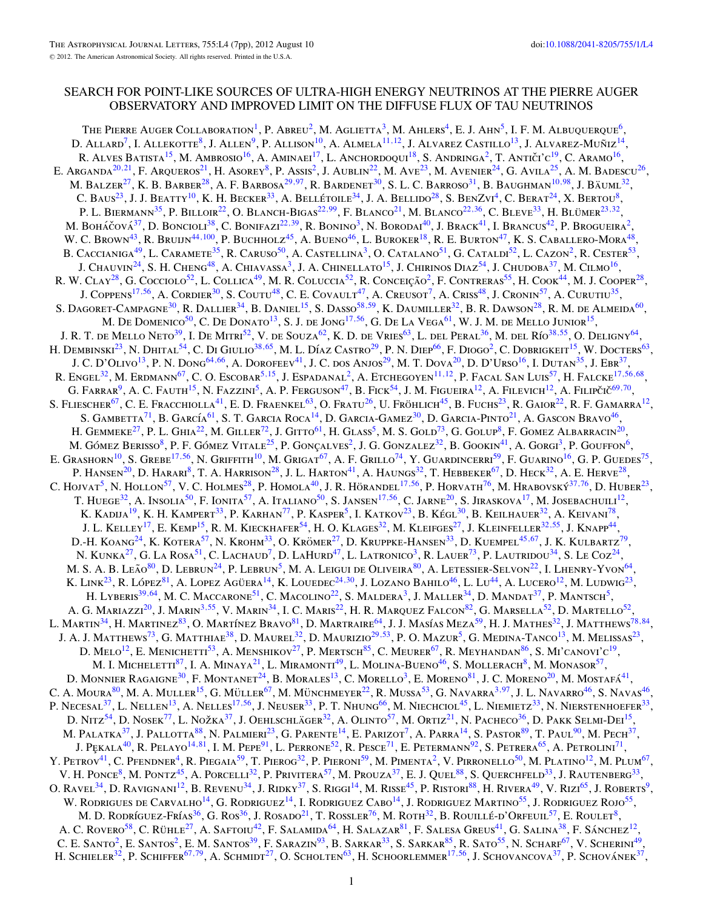# SEARCH FOR POINT-LIKE SOURCES OF ULTRA-HIGH ENERGY NEUTRINOS AT THE PIERRE AUGER OBSERVATORY AND IMPROVED LIMIT ON THE DIFFUSE FLUX OF TAU NEUTRINOS

THE PIERRE AUGER COLLABORATION<sup>1</sup>, P. ABREU<sup>2</sup>, M. AGLIETTA<sup>3</sup>, M. AHLERS<sup>4</sup>, E. J. AHN<sup>5</sup>, I. F. M. ALBUQUEROUE<sup>6</sup>, D. ALLARD<sup>7</sup>, I. ALLEKOTTE<sup>8</sup>, J. ALLEN<sup>9</sup>, P. ALLISON<sup>10</sup>, A. ALMELA<sup>11,12</sup>, J. ALVAREZ CASTILLO<sup>13</sup>, J. ALVAREZ-MUÑIZ<sup>14</sup>, R. Alves Batista<sup>15</sup>, M. Ambrosio<sup>16</sup>, A. Aminaei<sup>17</sup>, L. Anchordoqui<sup>18</sup>, S. Andringa<sup>2</sup>, T. Antiči'c<sup>19</sup>, C. Aramo<sup>16</sup>, E. Arganda<sup>20,21</sup>, F. Arqueros<sup>21</sup>, H. Asorey<sup>8</sup>, P. Assis<sup>2</sup>, J. Aublin<sup>22</sup>, M. Ave<sup>23</sup>, M. Avenier<sup>24</sup>, G. Avila<sup>25</sup>, A. M. Badescu<sup>26</sup>, M. BALZER<sup>27</sup>, K. B. BARBER<sup>28</sup>, A. F. BARBOSA<sup>29,[97](#page-4-0)</sup>, R. BARDENET<sup>30</sup>, S. L. C. BARROSO<sup>31</sup>, B. BAUGHMAN<sup>10,[98](#page-4-0)</sup>, J. BÄUML<sup>32</sup>, C. BAUS<sup>23</sup>, J. J. BEATTY<sup>10</sup>, K. H. BECKER<sup>33</sup>, A. BELLÉTOILE<sup>34</sup>, J. A. BELLIDO<sup>28</sup>, S. BENZVI<sup>4</sup>, C. BERAT<sup>24</sup>, X. BERTOU<sup>8</sup>, P. L. BIERMANN<sup>35</sup>, P. BILLOIR<sup>22</sup>, O. BLANCH-BIGAS<sup>22,[99](#page-4-0)</sup>, F. BLANCO<sup>21</sup>, M. BLANCO<sup>22,36</sup>, C. BLEVE<sup>33</sup>, H. BLÜMER<sup>23,32</sup>, M. Boháčová<sup>37</sup>, D. Boncioli<sup>38</sup>, C. Bonifazi<sup>22,39</sup>, R. Bonino<sup>3</sup>, N. Borodai<sup>40</sup>, J. Brack<sup>41</sup>, I. Brancus<sup>42</sup>, P. Brogueira<sup>2</sup>, W. C. Brown<sup>43</sup>, R. Bruijn<sup>44,[100](#page-4-0)</sup>, P. Buchholz<sup>45</sup>, A. Bueno<sup>46</sup>, L. Buroker<sup>18</sup>, R. E. Burton<sup>47</sup>, K. S. Caballero-Mora<sup>48</sup>, B. CACCIANIGA<sup>49</sup>, L. CARAMETE<sup>35</sup>, R. CARUSO<sup>50</sup>, A. CASTELLINA<sup>3</sup>, O. CATALANO<sup>51</sup>, G. CATALDI<sup>52</sup>, L. CAZON<sup>2</sup>, R. CESTER<sup>53</sup>, J. Chauvin<sup>24</sup>, S. H. Cheng<sup>48</sup>, A. Chiavassa<sup>3</sup>, J. A. Chinellato<sup>15</sup>, J. Chirinos Diaz<sup>54</sup>, J. Chudoba<sup>37</sup>, M. Cilmo<sup>16</sup>, R. W. CLAY<sup>28</sup>, G. Cocciolo<sup>52</sup>, L. Collica<sup>49</sup>, M. R. Coluccia<sup>52</sup>, R. Conceição<sup>2</sup>, F. Contreras<sup>55</sup>, H. Cook<sup>44</sup>, M. J. Cooper<sup>28</sup>, J. Coppens<sup>17,56</sup>, A. Cordier<sup>30</sup>, S. Coutu<sup>48</sup>, C. E. Covault<sup>47</sup>, A. Creusot<sup>7</sup>, A. Criss<sup>48</sup>, J. Cronin<sup>57</sup>, A. Curutiu<sup>35</sup>, S. Dagoret-Campagne<sup>30</sup>, R. Dallier<sup>34</sup>, B. Daniel<sup>15</sup>, S. Dasso<sup>58,59</sup>, K. Daumiller<sup>32</sup>, B. R. Dawson<sup>28</sup>, R. M. de Almeida<sup>60</sup>, M. De Domenico<sup>50</sup>, C. De Donato<sup>13</sup>, S. J. de Jong<sup>17,56</sup>, G. De La Vega<sup>61</sup>, W. J. M. de Mello Junior<sup>15</sup>, J. R. T. de Mello Neto<sup>39</sup>, I. De Mitri<sup>52</sup>, V. de Souza<sup>62</sup>, K. D. de Vries<sup>63</sup>, L. del Peral<sup>36</sup>, M. del Río<sup>38,55</sup>, O. Deligny<sup>64</sup>, H. Dembinski<sup>23</sup>, N. Dhital<sup>54</sup>, C. Di Giulio<sup>38,65</sup>, M. L. Díaz Castro<sup>29</sup>, P. N. Diep<sup>66</sup>, F. Diogo<sup>2</sup>, C. Dobrigkeit<sup>15</sup>, W. Docters<sup>63</sup>, J. C. D'OLIVO<sup>13</sup>, P. N. DONG<sup>64,66</sup>, A. DOROFEEV<sup>41</sup>, J. C. dos Anjos<sup>29</sup>, M. T. Dova<sup>20</sup>, D. D'Urso<sup>16</sup>, I. Dutan<sup>35</sup>, J. Ebr<sup>37</sup>, R. ENGEL<sup>32</sup>, M. ERDMANN<sup>67</sup>, C. O. ESCOBAR<sup>5,15</sup>, J. ESPADANAL<sup>2</sup>, A. ETCHEGOYEN<sup>11,12</sup>, P. FACAL SAN LUIS<sup>57</sup>, H. FALCKE<sup>17,56,68</sup>, G. FARRAR<sup>9</sup>, A. C. FAUTH<sup>15</sup>, N. FAZZINI<sup>5</sup>, A. P. FERGUSON<sup>47</sup>, B. FICK<sup>54</sup>, J. M. FIGUEIRA<sup>12</sup>, A. FILEVICH<sup>12</sup>, A. FILIPCIČ<sup>69,70</sup>, S. FLIESCHER<sup>67</sup>, C. E. FRACCHIOLLA<sup>41</sup>, E. D. FRAENKEL<sup>63</sup>, O. FRATU<sup>26</sup>, U. FRÖHLICH<sup>45</sup>, B. FUCHS<sup>23</sup>, R. GAIOR<sup>22</sup>, R. F. GAMARRA<sup>12</sup>, S. GAMBETTA<sup>71</sup>, B. GARCÍA<sup>61</sup>, S. T. GARCIA ROCA<sup>14</sup>, D. GARCIA-GAMEZ<sup>30</sup>, D. GARCIA-PINTO<sup>21</sup>, A. GASCON BRAVO<sup>46</sup>, H. GEMMEKE<sup>27</sup>, P. L. GHIA<sup>22</sup>, M. GILLER<sup>72</sup>, J. GITTO<sup>61</sup>, H. GLASS<sup>5</sup>, M. S. GOLD<sup>73</sup>, G. GOLUP<sup>8</sup>, F. GOMEZ ALBARRACIN<sup>20</sup>, M. GÓMEZ BERISSO<sup>8</sup>, P. F. GÓMEZ VITALE<sup>25</sup>, P. GONÇALVES<sup>2</sup>, J. G. GONZALEZ<sup>32</sup>, B. GOOKIN<sup>41</sup>, A. GORGI<sup>3</sup>, P. GOUFFON<sup>6</sup>, E. Grashorn<sup>10</sup>, S. Grebe<sup>17,56</sup>, N. Griffith<sup>10</sup>, M. Grigat<sup>67</sup>, A. F. Grillo<sup>74</sup>, Y. Guardincerri<sup>59</sup>, F. Guarino<sup>16</sup>, G. P. Guedes<sup>75</sup>, P. HANSEN<sup>20</sup>, D. HARARI<sup>8</sup>, T. A. HARRISON<sup>28</sup>, J. L. HARTON<sup>41</sup>, A. HAUNGS<sup>32</sup>, T. HEBBEKER<sup>67</sup>, D. HECK<sup>32</sup>, A. E. HERVE<sup>28</sup>, C. HOJVAT<sup>5</sup>, N. HOLLON<sup>57</sup>, V. C. HOLMES<sup>28</sup>, P. HOMOLA<sup>40</sup>, J. R. HÖRANDEL<sup>17,56</sup>, P. HORVATH<sup>76</sup>, M. HRABOVSKÝ<sup>37,76</sup>, D. HUBER<sup>23</sup>, T. HUEGE<sup>32</sup>, A. INSOLIA<sup>50</sup>, F. IONITA<sup>57</sup>, A. ITALIANO<sup>50</sup>, S. JANSEN<sup>17,56</sup>, C. JARNE<sup>20</sup>, S. JIRASKOVA<sup>17</sup>, M. JOSEBACHUILI<sup>12</sup>, K. Kadija<sup>19</sup>, K. H. Kampert<sup>33</sup>, P. Karhan<sup>77</sup>, P. Kasper<sup>5</sup>, I. Katkov<sup>23</sup>, B. Kégl<sup>30</sup>, B. Keilhauer<sup>32</sup>, A. Keivani<sup>78</sup>, J. L. Kelley17, E. Kemp15, R. M. Kieckhafer54, H. O. Klages32, M. Kleifges27, J. Kleinfeller32*,*55, J. Knapp44, D.-H. KOANG<sup>24</sup>, K. KOTERA<sup>57</sup>, N. KROHM<sup>33</sup>, O. KRÖMER<sup>27</sup>, D. KRUPPKE-HANSEN<sup>33</sup>, D. KUEMPEL<sup>45,67</sup>, J. K. KULBARTZ<sup>79</sup>, N. KUNKA<sup>27</sup>, G. La Rosa<sup>51</sup>, C. Lachaud<sup>7</sup>, D. LaHurd<sup>47</sup>, L. Latronico<sup>3</sup>, R. Lauer<sup>73</sup>, P. Lautridou<sup>34</sup>, S. Le Coz<sup>24</sup>, M. S. A. B. Leão<sup>80</sup>, D. Lebrun<sup>24</sup>, P. Lebrun<sup>5</sup>, M. A. Leigui de Oliveira<sup>80</sup>, A. Letessier-Selvon<sup>22</sup>, I. Lhenry-Yvon<sup>64</sup>, K. LINK<sup>23</sup>, R. López<sup>81</sup>, A. Lopez Agüera<sup>14</sup>, K. Louedec<sup>24, 30</sup>, J. Lozano Bahilo<sup>46</sup>, L. Lu<sup>44</sup>, A. Lucero<sup>12</sup>, M. Ludwig<sup>23</sup>, H. LYBERIS<sup>39,64</sup>, M. C. MACCARONE<sup>51</sup>, C. MACOLINO<sup>22</sup>, S. MALDERA<sup>3</sup>, J. MALLER<sup>34</sup>, D. MANDAT<sup>37</sup>, P. MANTSCH<sup>5</sup>, A. G. MARIAZZI<sup>20</sup>, J. MARIN<sup>3,55</sup>, V. MARIN<sup>34</sup>, I. C. MARIS<sup>22</sup>, H. R. MARQUEZ FALCON<sup>82</sup>, G. MARSELLA<sup>52</sup>, D. MARTELLO<sup>52</sup> L. Martin<sup>34</sup>, H. Martinez<sup>83</sup>, O. Martínez Bravo<sup>81</sup>, D. Martraire<sup>64</sup>, J. J. Masías Meza<sup>59</sup>, H. J. Mathes<sup>32</sup>, J. Matthews<sup>78,84</sup>, J. A. J. Matthews<sup>73</sup>, G. Matthiae<sup>38</sup>, D. Maurel<sup>32</sup>, D. Maurizio<sup>29,53</sup>, P. O. Mazur<sup>5</sup>, G. Medina-Tanco<sup>13</sup>, M. Melissas<sup>23</sup>, D. MELO<sup>12</sup>, E. MENICHETTI<sup>53</sup>, A. MENSHIKOV<sup>27</sup>, P. MERTSCH<sup>85</sup>, C. MEURER<sup>67</sup>, R. MEYHANDAN<sup>86</sup>, S. MI'CANOVI'C<sup>19</sup>, M. I. MICHELETTI<sup>87</sup>, I. A. MINAYA<sup>21</sup>, L. MIRAMONTI<sup>49</sup>, L. MOLINA-BUENO<sup>46</sup>, S. MOLLERACH<sup>8</sup>, M. MONASOR<sup>57</sup>, D. MONNIER RAGAIGNE<sup>30</sup>, F. MONTANET<sup>24</sup>, B. MORALES<sup>13</sup>, C. MORELLO<sup>3</sup>, E. MORENO<sup>81</sup>, J. C. MORENO<sup>20</sup>, M. MOSTAFÁ<sup>41</sup>, C. A. Moura<sup>80</sup>, M. A. Muller<sup>15</sup>, G. Müller<sup>67</sup>, M. Münchmeyer<sup>22</sup>, R. Mussa<sup>53</sup>, G. Navarra<sup>3,[97](#page-4-0)</sup>, J. L. Navarro<sup>46</sup>, S. Navas<sup>46</sup>, P. Necesal<sup>37</sup>, L. Nellen<sup>13</sup>, A. Nelles<sup>17,56</sup>, J. Neuser<sup>33</sup>, P. T. Nhung<sup>66</sup>, M. Niechciol<sup>45</sup>, L. Niemietz<sup>33</sup>, N. Nierstenhoefer<sup>33</sup>, D. NITZ<sup>54</sup>, D. NOSEK<sup>77</sup>, L. NOŽKA<sup>37</sup>, J. OEHLSCHLÄGER<sup>32</sup>, A. OLINTO<sup>57</sup>, M. ORTIZ<sup>21</sup>, N. PACHECO<sup>36</sup>, D. PAKK SELMI-DEI<sup>15</sup>, M. PALATKA<sup>37</sup>, J. PALLOTTA<sup>88</sup>, N. PALMIERI<sup>23</sup>, G. PARENTE<sup>14</sup>, E. PARIZOT<sup>7</sup>, A. PARRA<sup>14</sup>, S. PASTOR<sup>89</sup>, T. PAUL<sup>90</sup>, M. PECH<sup>37</sup>, J. PĘKALA<sup>40</sup>, R. PELAYO<sup>14,81</sup>, I. M. PEPE<sup>91</sup>, L. PERRONE<sup>52</sup>, R. PESCE<sup>71</sup>, E. PETERMANN<sup>92</sup>, S. PETRERA<sup>65</sup>, A. PETROLINI<sup>71</sup>, Y. Petrov<sup>41</sup>, C. Pfendner<sup>4</sup>, R. Piegaia<sup>59</sup>, T. Pierog<sup>32</sup>, P. Pieroni<sup>59</sup>, M. Pimenta<sup>2</sup>, V. Pirronello<sup>50</sup>, M. Platino<sup>12</sup>, M. Plum<sup>67</sup>, V. H. PONCE<sup>8</sup>, M. PONTZ<sup>45</sup>, A. PORCELLI<sup>32</sup>, P. PRIVITERA<sup>57</sup>, M. PROUZA<sup>37</sup>, E. J. QUEL<sup>88</sup>, S. QUERCHFELD<sup>33</sup>, J. RAUTENBERG<sup>33</sup>, O. RAVEL<sup>34</sup>, D. RAVIGNANI<sup>12</sup>, B. REVENU<sup>34</sup>, J. RIDKY<sup>37</sup>, S. RIGGI<sup>14</sup>, M. RISSE<sup>45</sup>, P. RISTORI<sup>88</sup>, H. RIVERA<sup>49</sup>, V. RIZI<sup>65</sup>, J. ROBERTS<sup>9</sup>, W. RODRIGUES DE CARVALHO<sup>14</sup>, G. RODRIGUEZ<sup>14</sup>, I. RODRIGUEZ CABO<sup>14</sup>, J. RODRIGUEZ MARTINO<sup>55</sup>, J. RODRIGUEZ ROJO<sup>55</sup>, M. D. RODRÍGUEZ-FRÍAS<sup>36</sup>, G. ROS<sup>36</sup>, J. ROSADO<sup>21</sup>, T. ROSSLER<sup>76</sup>, M. ROTH<sup>32</sup>, B. ROUILLÉ-D'ORFEUIL<sup>57</sup>, E. ROULET<sup>8</sup>, A. C. ROVERO<sup>58</sup>, C. RÜHLE<sup>27</sup>, A. SAFTOIU<sup>42</sup>, F. SALAMIDA<sup>64</sup>, H. SALAZAR<sup>81</sup>, F. SALESA GREUS<sup>41</sup>, G. SALINA<sup>38</sup>, F. SÁNCHEZ<sup>12</sup>, C. E. SANTO<sup>2</sup>, E. SANTOS<sup>2</sup>, E. M. SANTOS<sup>39</sup>, F. SARAZIN<sup>93</sup>, B. SARKAR<sup>33</sup>, S. SARKAR<sup>85</sup>, R. SATO<sup>55</sup>, N. SCHARF<sup>67</sup>, V. SCHERINI<sup>49</sup>, H. SCHIELER<sup>32</sup>, P. SCHIFFER<sup>67,79</sup>, A. SCHMIDT<sup>27</sup>, O. SCHOLTEN<sup>63</sup>, H. SCHOORLEMMER<sup>17,56</sup>, J. SCHOVANCOVA<sup>37</sup>, P. SCHOVÁNEK<sup>37</sup>,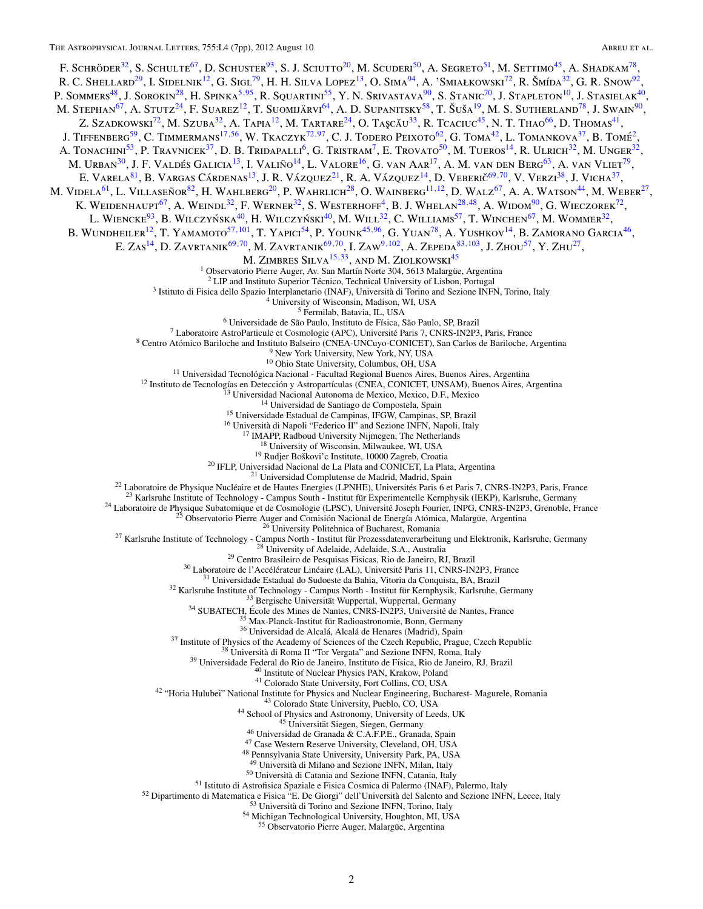F. SCHRÖDER<sup>32</sup>, S. SCHULTE<sup>67</sup>, D. SCHUSTER<sup>93</sup>, S. J. SCIUTTO<sup>20</sup>, M. SCUDERI<sup>50</sup>, A. SEGRETO<sup>51</sup>, M. SETTIMO<sup>45</sup>, A. SHADKAM<sup>78</sup>, R. C. Shellard<sup>29</sup>, I. Sidelnik<sup>12</sup>, G. Sigl<sup>79</sup>, H. H. Silva Lopez<sup>13</sup>, O. Sima<sup>94</sup>, A. 'Smiałkowski<sup>72</sup>, R. Šmída<sup>32</sup>, G. R. Snow<sup>92</sup>, P. Sommers<sup>48</sup>, J. Sorokin<sup>28</sup>, H. Spinka<sup>5,95</sup>, R. Squartini<sup>55</sup>, Y. N. Srivastava<sup>90</sup>, S. Stanic<sup>70</sup>, J. Stapleton<sup>10</sup>, J. Stasielak<sup>40</sup>, M. Stephan<sup>67</sup>, A. Stutz<sup>24</sup>, F. Suarez<sup>12</sup>, T. Suomijärvi<sup>64</sup>, A. D. Supanitsky<sup>58</sup>, T. Šuša<sup>19</sup>, M. S. Sutherland<sup>78</sup>, J. Swain<sup>90</sup>, Z. Szadkowski<sup>72</sup>, M. Szuba<sup>32</sup>, A. Tapia<sup>12</sup>, M. Tartare<sup>24</sup>, O. Taşcău<sup>33</sup>, R. Tcaciuc<sup>45</sup>, N. T. Thao<sup>66</sup>, D. Thomas<sup>41</sup>, J. TIFFENBERG<sup>59</sup>, C. TIMMERMANS<sup>17,56</sup>, W. TKACZYK<sup>72,[97](#page-4-0)</sup>, C. J. TODERO PEIXOTO<sup>62</sup>, G. TOMA<sup>42</sup>, L. TOMANKOVA<sup>37</sup>, B. TOMÉ<sup>2</sup>, 3. TIFFENDERG , C. TIMMERMANG , W. TRAVETR , C. S. TOLERG TERMS 3, C. TOMAT. THE COMMUNIST , C. T. THEOREM , AND THE COMMUNIST AND RESPECT AT A TONACHINI<sup>53</sup>, P. TRAVNICER<sup>32</sup>, D. B. TRIDAPALLI<sup>6</sup>, G. TRISTRAM<sup>7</sup>, E. TROV M. URBAN<sup>30</sup>, J. F. VALDÉS GALICIA<sup>13</sup>, I. VALIÑO<sup>14</sup>, L. VALORE<sup>16</sup>, G. van Aar<sup>17</sup>, A. M. van den Berg<sup>63</sup>, A. van Vliet<sup>79</sup>, E. VARELA<sup>81</sup>, B. VARGAS CÁRDENAS<sup>13</sup>, J. R. VÁZQUEZ<sup>21</sup>, R. A. VÁZQUEZ<sup>14</sup>, D. VEBERIČ<sup>69,70</sup>, V. VERZI<sup>38</sup>, J. VICHA<sup>37</sup>, M. VIDELA<sup>61</sup>, L. VILLASEÑOR<sup>82</sup>, H. WAHLBERG<sup>20</sup>, P. WAHRLICH<sup>28</sup>, O. WAINBERG<sup>11, 12</sup>, D. WALZ<sup>67</sup>, A. A. WATSON<sup>44</sup>, M. WEBER<sup>27</sup>, K. Weidenhaupt<sup>67</sup>, A. Weindl<sup>32</sup>, F. Werner<sup>32</sup>, S. Westerhoff<sup>4</sup>, B. J. Whelan<sup>28,48</sup>, A. Widom<sup>90</sup>, G. Wieczorek<sup>72</sup>, L. Wiencke<sup>93</sup>, B. Wilczyńska<sup>40</sup>, H. Wilczyński<sup>40</sup>, M. Will<sup>32</sup>, C. Williams<sup>57</sup>, T. Winchen<sup>67</sup>, M. Wommer<sup>32</sup>, B. Wundheiler<sup>12</sup>, T. Yamamoto<sup>57,[101](#page-4-0)</sup>, T. Yapici<sup>54</sup>, P. Younk<sup>45,96</sup>, G. Yuan<sup>78</sup>, A. Yushkov<sup>14</sup>, B. Zamorano Garcia<sup>46</sup>, E. Zas14, D. Zavrtanik69*,*70, M. Zavrtanik69*,*70, I. Zaw9*,*[102](#page-4-0), A. Zepeda83*,*[103](#page-4-0), J. Zhou57, Y. Zhu27, M. ZIMBRES SILVA<sup>15,33</sup>, AND M. ZIOLKOWSKI<sup>45</sup><sup>1</sup> Observatorio Pierre Auger, Av. San Martín Norte 304, 5613 Malargüe, Argentina <sup>1</sup> Choronton Finer algor, As San Marin Nore 104, 5813 Malargin, Argumina 19<br>
1-11P and Institute Spectra Techno, Technol University of Linkon, Petrugal<br>
1-11P and Institute Spectra Techno, Technol University of Linkon, P <sup>48</sup> Pennsylvania State University, University Park, PA, USA<br><sup>49</sup> Università di Milano and Sezione INFN, Milan, Italy<br><sup>50</sup> Università di Catania and Sezione INFN, Catania, Italy<br><sup>51</sup> Istituto di Astrofisica Spaziale e Fis 55 Observatorio Pierre Auger, Malargüe, Argentina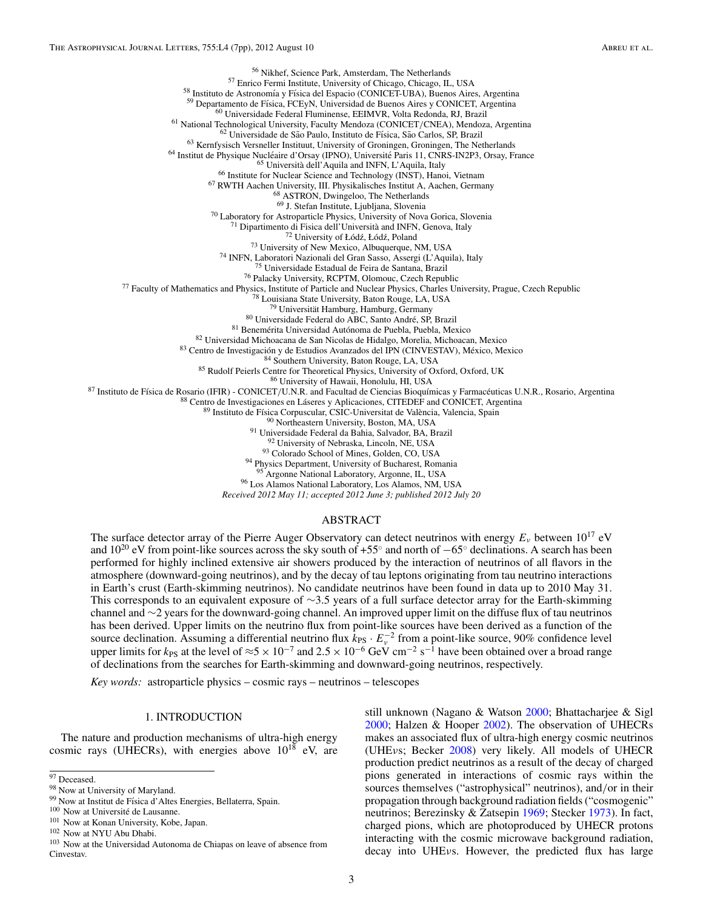<span id="page-4-0"></span>

*Received 2012 May 11; accepted 2012 June 3; published 2012 July 20*

#### ABSTRACT

The surface detector array of the Pierre Auger Observatory can detect neutrinos with energy *Eν* between 1017 eV and  $10^{20}$  eV from point-like sources across the sky south of +55° and north of −65° declinations. A search has been performed for highly inclined extensive air showers produced by the interaction of neutrinos of all flavors in the atmosphere (downward-going neutrinos), and by the decay of tau leptons originating from tau neutrino interactions in Earth's crust (Earth-skimming neutrinos). No candidate neutrinos have been found in data up to 2010 May 31. This corresponds to an equivalent exposure of  $\sim$ 3.5 years of a full surface detector array for the Earth-skimming channel and ∼2 years for the downward-going channel. An improved upper limit on the diffuse flux of tau neutrinos has been derived. Upper limits on the neutrino flux from point-like sources have been derived as a function of the source declination. Assuming a differential neutrino flux  $\bar{k}_{PS} \cdot E_v^{-2}$  from a point-like source, 90% confidence level upper limits for  $k_{PS}$  at the level of  $\approx 5 \times 10^{-7}$  and  $2.5 \times 10^{-6}$  GeV cm<sup>-2</sup> s<sup>-1</sup> have been obtained over a broad range of declinations from the searches for Earth-skimming and downward-going neutrinos, respectively.

*Key words:* astroparticle physics – cosmic rays – neutrinos – telescopes

#### 1. INTRODUCTION

The nature and production mechanisms of ultra-high energy cosmic rays (UHECRs), with energies above  $10^{18}$  eV, are still unknown (Nagano & Watson [2000;](#page-8-0) Bhattacharjee & Sigl [2000;](#page-8-0) Halzen & Hooper [2002\)](#page-8-0). The observation of UHECRs makes an associated flux of ultra-high energy cosmic neutrinos (UHE*ν*s; Becker [2008\)](#page-8-0) very likely. All models of UHECR production predict neutrinos as a result of the decay of charged pions generated in interactions of cosmic rays within the sources themselves ("astrophysical" neutrinos), and*/*or in their propagation through background radiation fields ("cosmogenic" neutrinos; Berezinsky & Zatsepin [1969;](#page-8-0) Stecker [1973\)](#page-8-0). In fact, charged pions, which are photoproduced by UHECR protons interacting with the cosmic microwave background radiation, decay into UHE*ν*s. However, the predicted flux has large

 $\overline{97}$  Deceased.

<sup>98</sup> Now at University of Maryland.

<sup>99</sup> Now at Institut de Física d'Altes Energies, Bellaterra, Spain.

<sup>&</sup>lt;sup>100</sup> Now at Université de Lausanne.

<sup>101</sup> Now at Konan University, Kobe, Japan.

<sup>102</sup> Now at NYU Abu Dhabi.

<sup>103</sup> Now at the Universidad Autonoma de Chiapas on leave of absence from Cinvestav.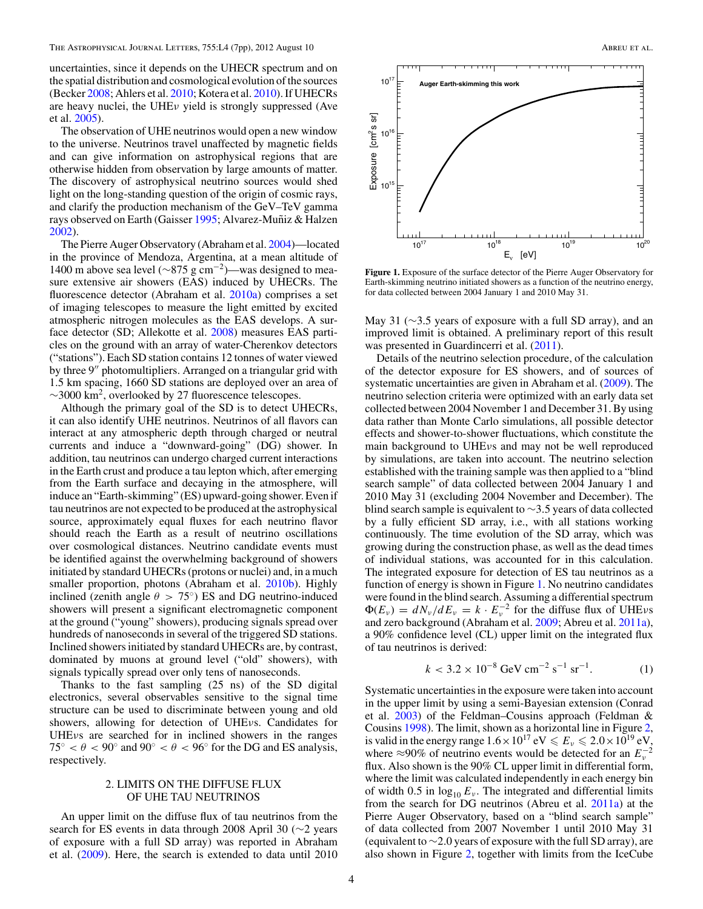<span id="page-5-0"></span>uncertainties, since it depends on the UHECR spectrum and on the spatial distribution and cosmological evolution of the sources (Becker [2008;](#page-8-0) Ahlers et al. [2010;](#page-8-0) Kotera et al. [2010\)](#page-8-0). If UHECRs are heavy nuclei, the UHE*ν* yield is strongly suppressed (Ave et al. [2005\)](#page-8-0).

The observation of UHE neutrinos would open a new window to the universe. Neutrinos travel unaffected by magnetic fields and can give information on astrophysical regions that are otherwise hidden from observation by large amounts of matter. The discovery of astrophysical neutrino sources would shed light on the long-standing question of the origin of cosmic rays, and clarify the production mechanism of the GeV–TeV gamma rays observed on Earth (Gaisser [1995;](#page-8-0) Alvarez-Muñiz & Halzen [2002\)](#page-8-0).

The Pierre Auger Observatory (Abraham et al. [2004\)](#page-8-0)—located in the province of Mendoza, Argentina, at a mean altitude of 1400 m above sea level ( $\sim$ 875 g cm<sup>-2</sup>)—was designed to measure extensive air showers (EAS) induced by UHECRs. The fluorescence detector (Abraham et al. [2010a\)](#page-8-0) comprises a set of imaging telescopes to measure the light emitted by excited atmospheric nitrogen molecules as the EAS develops. A surface detector (SD; Allekotte et al. [2008\)](#page-8-0) measures EAS particles on the ground with an array of water-Cherenkov detectors ("stations"). Each SD station contains 12 tonnes of water viewed by three 9" photomultipliers. Arranged on a triangular grid with 1.5 km spacing, 1660 SD stations are deployed over an area of  $\sim$ 3000 km<sup>2</sup>, overlooked by 27 fluorescence telescopes.

Although the primary goal of the SD is to detect UHECRs, it can also identify UHE neutrinos. Neutrinos of all flavors can interact at any atmospheric depth through charged or neutral currents and induce a "downward-going" (DG) shower. In addition, tau neutrinos can undergo charged current interactions in the Earth crust and produce a tau lepton which, after emerging from the Earth surface and decaying in the atmosphere, will induce an "Earth-skimming" (ES) upward-going shower. Even if tau neutrinos are not expected to be produced at the astrophysical source, approximately equal fluxes for each neutrino flavor should reach the Earth as a result of neutrino oscillations over cosmological distances. Neutrino candidate events must be identified against the overwhelming background of showers initiated by standard UHECRs (protons or nuclei) and, in a much smaller proportion, photons (Abraham et al. [2010b\)](#page-8-0). Highly inclined (zenith angle  $\theta > 75^{\circ}$ ) ES and DG neutrino-induced showers will present a significant electromagnetic component at the ground ("young" showers), producing signals spread over hundreds of nanoseconds in several of the triggered SD stations. Inclined showers initiated by standard UHECRs are, by contrast, dominated by muons at ground level ("old" showers), with signals typically spread over only tens of nanoseconds.

Thanks to the fast sampling (25 ns) of the SD digital electronics, several observables sensitive to the signal time structure can be used to discriminate between young and old showers, allowing for detection of UHE*ν*s. Candidates for UHE*ν*s are searched for in inclined showers in the ranges  $75^{\circ} < \theta < 90^{\circ}$  and  $90^{\circ} < \theta < 96^{\circ}$  for the DG and ES analysis, respectively.

## 2. LIMITS ON THE DIFFUSE FLUX OF UHE TAU NEUTRINOS

An upper limit on the diffuse flux of tau neutrinos from the search for ES events in data through 2008 April 30 (∼2 years of exposure with a full SD array) was reported in Abraham et al. [\(2009\)](#page-8-0). Here, the search is extended to data until 2010



**Figure 1.** Exposure of the surface detector of the Pierre Auger Observatory for Earth-skimming neutrino initiated showers as a function of the neutrino energy, for data collected between 2004 January 1 and 2010 May 31.

May 31 (∼3.5 years of exposure with a full SD array), and an improved limit is obtained. A preliminary report of this result was presented in Guardincerri et al. [\(2011\)](#page-8-0).

Details of the neutrino selection procedure, of the calculation of the detector exposure for ES showers, and of sources of systematic uncertainties are given in Abraham et al. [\(2009\)](#page-8-0). The neutrino selection criteria were optimized with an early data set collected between 2004 November 1 and December 31. By using data rather than Monte Carlo simulations, all possible detector effects and shower-to-shower fluctuations, which constitute the main background to UHE*ν*s and may not be well reproduced by simulations, are taken into account. The neutrino selection established with the training sample was then applied to a "blind search sample" of data collected between 2004 January 1 and 2010 May 31 (excluding 2004 November and December). The blind search sample is equivalent to ∼3*.*5 years of data collected by a fully efficient SD array, i.e., with all stations working continuously. The time evolution of the SD array, which was growing during the construction phase, as well as the dead times of individual stations, was accounted for in this calculation. The integrated exposure for detection of ES tau neutrinos as a function of energy is shown in Figure 1. No neutrino candidates were found in the blind search. Assuming a differential spectrum  $\Phi(E_v) = dN_v/dE_v = k \cdot E_v^{-2}$  for the diffuse flux of UHE<sub>*v*s</sub> and zero background (Abraham et al. [2009;](#page-8-0) Abreu et al. [2011a\)](#page-8-0), a 90% confidence level (CL) upper limit on the integrated flux of tau neutrinos is derived:

$$
k < 3.2 \times 10^{-8} \, \text{GeV} \, \text{cm}^{-2} \, \text{s}^{-1} \, \text{sr}^{-1}.\tag{1}
$$

Systematic uncertainties in the exposure were taken into account in the upper limit by using a semi-Bayesian extension (Conrad et al. [2003\)](#page-8-0) of the Feldman–Cousins approach (Feldman & Cousins [1998\)](#page-8-0). The limit, shown as a horizontal line in Figure [2,](#page-6-0) is valid in the energy range  $1.6 \times 10^{17}$  eV  $\leq E_v \leq 2.0 \times 10^{19}$  eV, where ≈90% of neutrino events would be detected for an  $E_v^{-2}$ flux. Also shown is the 90% CL upper limit in differential form, where the limit was calculated independently in each energy bin of width 0.5 in  $\log_{10} E_v$ . The integrated and differential limits from the search for DG neutrinos (Abreu et al. [2011a\)](#page-8-0) at the Pierre Auger Observatory, based on a "blind search sample" of data collected from 2007 November 1 until 2010 May 31 (equivalent to ∼2*.*0 years of exposure with the full SD array), are also shown in Figure [2,](#page-6-0) together with limits from the IceCube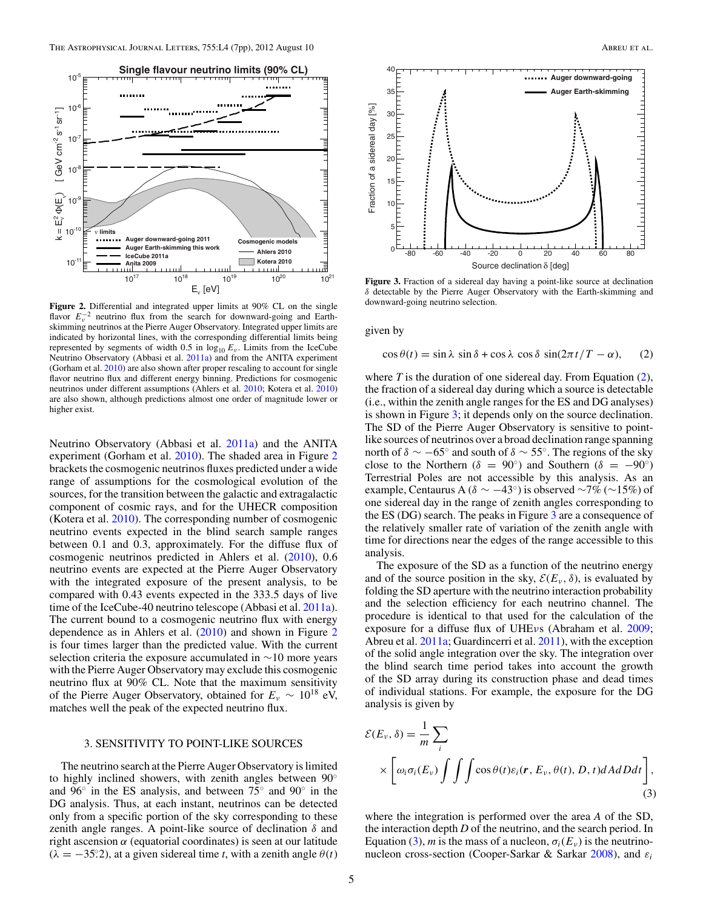<span id="page-6-0"></span>

**Figure 2.** Differential and integrated upper limits at 90% CL on the single flavor  $E_v^{-2}$  neutrino flux from the search for downward-going and Earthskimming neutrinos at the Pierre Auger Observatory. Integrated upper limits are indicated by horizontal lines, with the corresponding differential limits being represented by segments of width 0.5 in  $log_{10} E_v$ . Limits from the IceCube Neutrino Observatory (Abbasi et al. [2011a\)](#page-8-0) and from the ANITA experiment (Gorham et al. [2010\)](#page-8-0) are also shown after proper rescaling to account for single flavor neutrino flux and different energy binning. Predictions for cosmogenic neutrinos under different assumptions (Ahlers et al. [2010;](#page-8-0) Kotera et al. [2010\)](#page-8-0) are also shown, although predictions almost one order of magnitude lower or higher exist.

Neutrino Observatory (Abbasi et al. [2011a\)](#page-8-0) and the ANITA experiment (Gorham et al. [2010\)](#page-8-0). The shaded area in Figure 2 brackets the cosmogenic neutrinos fluxes predicted under a wide range of assumptions for the cosmological evolution of the sources, for the transition between the galactic and extragalactic component of cosmic rays, and for the UHECR composition (Kotera et al. [2010\)](#page-8-0). The corresponding number of cosmogenic neutrino events expected in the blind search sample ranges between 0.1 and 0.3, approximately. For the diffuse flux of cosmogenic neutrinos predicted in Ahlers et al. [\(2010\)](#page-8-0), 0*.*6 neutrino events are expected at the Pierre Auger Observatory with the integrated exposure of the present analysis, to be compared with 0*.*43 events expected in the 333*.*5 days of live time of the IceCube-40 neutrino telescope (Abbasi et al. [2011a\)](#page-8-0). The current bound to a cosmogenic neutrino flux with energy dependence as in Ahlers et al. [\(2010\)](#page-8-0) and shown in Figure 2 is four times larger than the predicted value. With the current selection criteria the exposure accumulated in ∼10 more years with the Pierre Auger Observatory may exclude this cosmogenic neutrino flux at 90% CL. Note that the maximum sensitivity of the Pierre Auger Observatory, obtained for  $E_v \sim 10^{18}$  eV, matches well the peak of the expected neutrino flux.

## 3. SENSITIVITY TO POINT-LIKE SOURCES

The neutrino search at the Pierre Auger Observatory is limited to highly inclined showers, with zenith angles between 90◦ and 96◦ in the ES analysis, and between 75◦ and 90◦ in the DG analysis. Thus, at each instant, neutrinos can be detected only from a specific portion of the sky corresponding to these zenith angle ranges. A point-like source of declination *δ* and right ascension  $\alpha$  (equatorial coordinates) is seen at our latitude  $(\lambda = -35^\circ, 2)$ , at a given sidereal time *t*, with a zenith angle  $\theta(t)$ 



**Figure 3.** Fraction of a sidereal day having a point-like source at declination *δ* detectable by the Pierre Auger Observatory with the Earth-skimming and downward-going neutrino selection.

given by

$$
\cos \theta(t) = \sin \lambda \, \sin \delta + \cos \lambda \, \cos \delta \, \sin(2\pi t/T - \alpha), \qquad (2)
$$

where *T* is the duration of one sidereal day. From Equation (2), the fraction of a sidereal day during which a source is detectable (i.e., within the zenith angle ranges for the ES and DG analyses) is shown in Figure 3; it depends only on the source declination. The SD of the Pierre Auger Observatory is sensitive to pointlike sources of neutrinos over a broad declination range spanning north of  $\delta \sim -65^\circ$  and south of  $\delta \sim 55^\circ$ . The regions of the sky close to the Northern ( $\delta = 90^\circ$ ) and Southern ( $\delta = -90^\circ$ ) Terrestrial Poles are not accessible by this analysis. As an example, Centaurus A ( $\delta \sim -43^\circ$ ) is observed ~7% (~15%) of one sidereal day in the range of zenith angles corresponding to the ES (DG) search. The peaks in Figure 3 are a consequence of the relatively smaller rate of variation of the zenith angle with time for directions near the edges of the range accessible to this analysis.

The exposure of the SD as a function of the neutrino energy and of the source position in the sky,  $\mathcal{E}(E_\nu, \delta)$ , is evaluated by folding the SD aperture with the neutrino interaction probability and the selection efficiency for each neutrino channel. The procedure is identical to that used for the calculation of the exposure for a diffuse flux of UHE*ν*s (Abraham et al. [2009;](#page-8-0) Abreu et al. [2011a;](#page-8-0) Guardincerri et al. [2011\)](#page-8-0), with the exception of the solid angle integration over the sky. The integration over the blind search time period takes into account the growth of the SD array during its construction phase and dead times of individual stations. For example, the exposure for the DG analysis is given by

$$
\mathcal{E}(E_{\nu}, \delta) = \frac{1}{m} \sum_{i}
$$
  
 
$$
\times \left[ \omega_{i} \sigma_{i}(E_{\nu}) \int \int \int \cos \theta(t) \varepsilon_{i}(\mathbf{r}, E_{\nu}, \theta(t), D, t) dA dD dt \right],
$$
 (3)

where the integration is performed over the area *A* of the SD, the interaction depth *D* of the neutrino, and the search period. In Equation (3), *m* is the mass of a nucleon,  $\sigma_i(E_v)$  is the neutrinonucleon cross-section (Cooper-Sarkar & Sarkar [2008\)](#page-8-0), and *εi*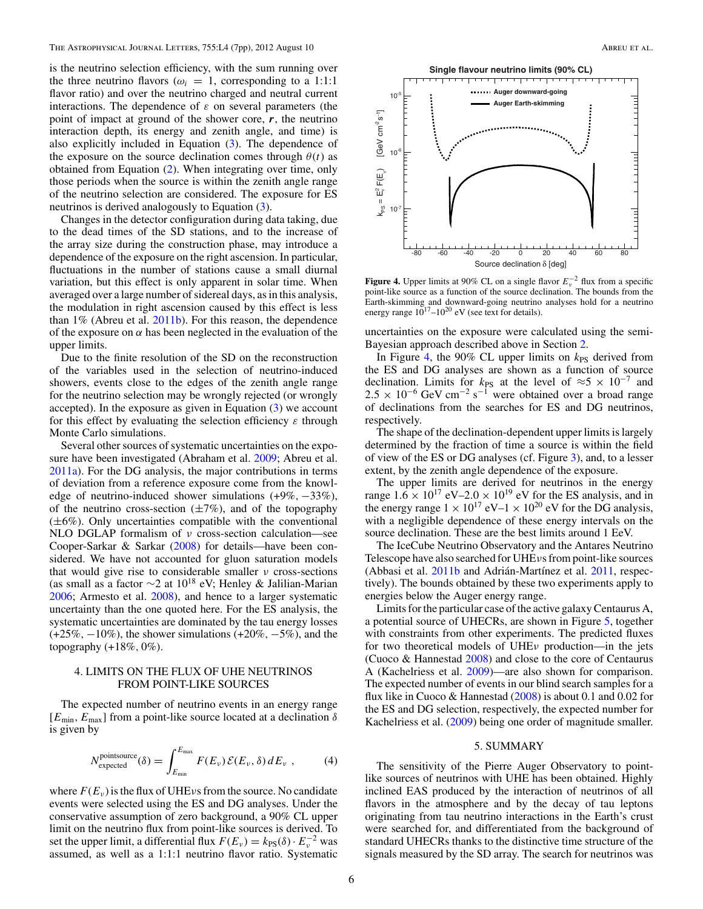is the neutrino selection efficiency, with the sum running over the three neutrino flavors ( $\omega_i = 1$ , corresponding to a 1:1:1 flavor ratio) and over the neutrino charged and neutral current interactions. The dependence of *ε* on several parameters (the point of impact at ground of the shower core, *r*, the neutrino interaction depth, its energy and zenith angle, and time) is also explicitly included in Equation [\(3\)](#page-6-0). The dependence of the exposure on the source declination comes through  $\theta(t)$  as obtained from Equation [\(2\)](#page-6-0). When integrating over time, only those periods when the source is within the zenith angle range of the neutrino selection are considered. The exposure for ES neutrinos is derived analogously to Equation [\(3\)](#page-6-0).

Changes in the detector configuration during data taking, due to the dead times of the SD stations, and to the increase of the array size during the construction phase, may introduce a dependence of the exposure on the right ascension. In particular, fluctuations in the number of stations cause a small diurnal variation, but this effect is only apparent in solar time. When averaged over a large number of sidereal days, as in this analysis, the modulation in right ascension caused by this effect is less than 1% (Abreu et al. [2011b\)](#page-8-0). For this reason, the dependence of the exposure on  $\alpha$  has been neglected in the evaluation of the upper limits.

Due to the finite resolution of the SD on the reconstruction of the variables used in the selection of neutrino-induced showers, events close to the edges of the zenith angle range for the neutrino selection may be wrongly rejected (or wrongly accepted). In the exposure as given in Equation [\(3\)](#page-6-0) we account for this effect by evaluating the selection efficiency *ε* through Monte Carlo simulations.

Several other sources of systematic uncertainties on the exposure have been investigated (Abraham et al. [2009;](#page-8-0) Abreu et al. [2011a\)](#page-8-0). For the DG analysis, the major contributions in terms of deviation from a reference exposure come from the knowledge of neutrino-induced shower simulations (+9%*,* −33%), of the neutrino cross-section  $(\pm 7\%)$ , and of the topography  $(\pm 6\%)$ . Only uncertainties compatible with the conventional NLO DGLAP formalism of *ν* cross-section calculation—see Cooper-Sarkar & Sarkar [\(2008\)](#page-8-0) for details—have been considered. We have not accounted for gluon saturation models that would give rise to considerable smaller *ν* cross-sections (as small as a factor  $\sim$ 2 at 10<sup>18</sup> eV; Henley & Jalilian-Marian [2006;](#page-8-0) Armesto et al. [2008\)](#page-8-0), and hence to a larger systematic uncertainty than the one quoted here. For the ES analysis, the systematic uncertainties are dominated by the tau energy losses (+25%*,* −10%), the shower simulations (+20%*,* −5%), and the topography (+18%*,* 0%).

## 4. LIMITS ON THE FLUX OF UHE NEUTRINOS FROM POINT-LIKE SOURCES

The expected number of neutrino events in an energy range [*E*min*, E*max] from a point-like source located at a declination *δ* is given by

$$
N_{\text{expected}}^{\text{pointsource}}(\delta) = \int_{E_{\text{min}}}^{E_{\text{max}}} F(E_{\nu}) \mathcal{E}(E_{\nu}, \delta) dE_{\nu} , \qquad (4)
$$

where  $F(E_v)$  is the flux of UHE<sub>*v*</sub> s from the source. No candidate events were selected using the ES and DG analyses. Under the conservative assumption of zero background, a 90% CL upper limit on the neutrino flux from point-like sources is derived. To set the upper limit, a differential flux  $F(E_v) = k_{PS}(\delta) \cdot E_v^{-2}$  was assumed, as well as a 1:1:1 neutrino flavor ratio. Systematic



**Figure 4.** Upper limits at 90% CL on a single flavor  $E_n^{-2}$  flux from a specific point-like source as a function of the source declination. The bounds from the Earth-skimming and downward-going neutrino analyses hold for a neutrino energy range  $10^{17} - 10^{20}$  eV (see text for details).

uncertainties on the exposure were calculated using the semi-Bayesian approach described above in Section [2.](#page-5-0)

In Figure 4, the 90% CL upper limits on  $k_{PS}$  derived from the ES and DG analyses are shown as a function of source declination. Limits for  $k_{PS}$  at the level of  $\approx$ 5 × 10<sup>-7</sup> and  $2.5 \times 10^{-6}$  GeV cm<sup>-2</sup> s<sup>-1</sup> were obtained over a broad range of declinations from the searches for ES and DG neutrinos, respectively.

The shape of the declination-dependent upper limits is largely determined by the fraction of time a source is within the field of view of the ES or DG analyses (cf. Figure [3\)](#page-6-0), and, to a lesser extent, by the zenith angle dependence of the exposure.

The upper limits are derived for neutrinos in the energy range  $1.6 \times 10^{17}$  eV–2.0  $\times 10^{19}$  eV for the ES analysis, and in the energy range  $1 \times 10^{17}$  eV– $1 \times 10^{20}$  eV for the DG analysis, with a negligible dependence of these energy intervals on the source declination. These are the best limits around 1 EeV.

The IceCube Neutrino Observatory and the Antares Neutrino Telescope have also searched for UHE*ν*s from point-like sources (Abbasi et al.  $2011b$  and Adrián-Martínez et al.  $2011$ , respectively). The bounds obtained by these two experiments apply to energies below the Auger energy range.

Limits for the particular case of the active galaxy Centaurus A, a potential source of UHECRs, are shown in Figure [5,](#page-8-0) together with constraints from other experiments. The predicted fluxes for two theoretical models of UHE*ν* production—in the jets (Cuoco & Hannestad [2008\)](#page-8-0) and close to the core of Centaurus A (Kachelriess et al. [2009\)](#page-8-0)—are also shown for comparison. The expected number of events in our blind search samples for a flux like in Cuoco & Hannestad [\(2008\)](#page-8-0) is about 0.1 and 0.02 for the ES and DG selection, respectively, the expected number for Kachelriess et al. [\(2009\)](#page-8-0) being one order of magnitude smaller.

## 5. SUMMARY

The sensitivity of the Pierre Auger Observatory to pointlike sources of neutrinos with UHE has been obtained. Highly inclined EAS produced by the interaction of neutrinos of all flavors in the atmosphere and by the decay of tau leptons originating from tau neutrino interactions in the Earth's crust were searched for, and differentiated from the background of standard UHECRs thanks to the distinctive time structure of the signals measured by the SD array. The search for neutrinos was